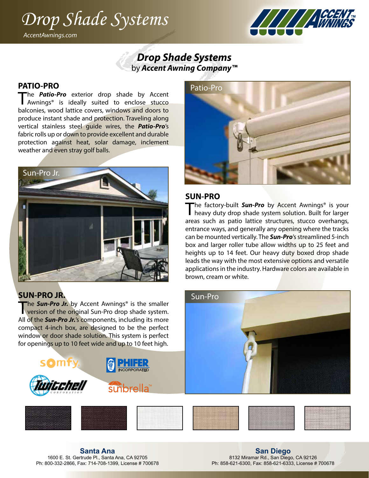## *Drop Shade Systems* WINING *AccentAwnings.com*



## *Drop Shade Systems* by *Accent Awning Company™*

#### **PATIO-PRO**

The **Patio-Pro** exterior drop shade by Accent Awnings<sup>®</sup> is ideally suited to enclose stucco balconies, wood lattice covers, windows and doors to produce instant shade and protection. Traveling along vertical stainless steel guide wires, the *Patio-Pro*'s fabric rolls up or down to provide excellent and durable protection against heat, solar damage, inclement weather and even stray golf balls.



## **SUN-PRO JR.**

The **Sun-Pro Jr.** by Accent Awnings<sup>®</sup> is the smaller version of the original Sun-Pro drop shade system. All of the *Sun-Pro Jr.*'s components, including its more compact 4-inch box, are designed to be the perfect window or door shade solution. This system is perfect for openings up to 10 feet wide and up to 10 feet high.





**Santa Ana** 1600 E. St. Gertrude Pl., Santa Ana, CA 92705 Ph: 800-332-2866, Fax: 714-708-1399, License # 700678

**San Diego** 8132 Miramar Rd., San Diego, CA 92126 Ph: 858-621-6300, Fax: 858-621-6333, License # 700678



### **SUN-PRO**

Sun-Pro

The factory-built **Sun-Pro** by Accent Awnings<sup>®</sup> is your heavy duty drop shade system solution. Built for larger areas such as patio lattice structures, stucco overhangs, entrance ways, and generally any opening where the tracks can be mounted vertically. The *Sun-Pro*'s streamlined 5-inch box and larger roller tube allow widths up to 25 feet and heights up to 14 feet. Our heavy duty boxed drop shade leads the way with the most extensive options and versatile applications in the industry. Hardware colors are available in brown, cream or white.